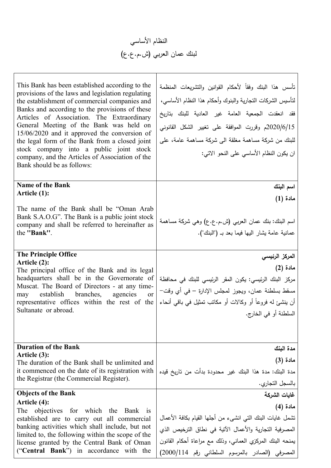

| This Bank has been established according to the<br>provisions of the laws and legislation regulating<br>the establishment of commercial companies and<br>Banks and according to the provisions of these<br>Articles of Association. The Extraordinary<br>General Meeting of the Bank was held on<br>$15/06/2020$ and it approved the conversion of<br>the legal form of the Bank from a closed joint<br>stock company into a public joint stock<br>company, and the Articles of Association of the<br>Bank should be as follows: | نأسس هذا البنك وفقاً لأحكام القوانين والتشريعات المنظمة<br>لتأسيس الشركات التجارية والبنوك وأحكام هذا النظام الأساسي،<br>فقد انعقدت الجمعية العامة غير العادية للبنك بناريخ<br>2020/6/15م وقررت الموافقة على تغيير الشكل القانوني<br>للبنك من شركة مساهمة مغلقة الىي شركة مساهمة عامة، علىي<br>ان يكون النظام الأساسي على النحو الاتبي: |
|----------------------------------------------------------------------------------------------------------------------------------------------------------------------------------------------------------------------------------------------------------------------------------------------------------------------------------------------------------------------------------------------------------------------------------------------------------------------------------------------------------------------------------|-----------------------------------------------------------------------------------------------------------------------------------------------------------------------------------------------------------------------------------------------------------------------------------------------------------------------------------------|
| <b>Name of the Bank</b>                                                                                                                                                                                                                                                                                                                                                                                                                                                                                                          | اسم البنك                                                                                                                                                                                                                                                                                                                               |
| Article (1):                                                                                                                                                                                                                                                                                                                                                                                                                                                                                                                     | مادة (1)                                                                                                                                                                                                                                                                                                                                |
| The name of the Bank shall be "Oman Arab"<br>Bank S.A.O.G". The Bank is a public joint stock<br>company and shall be referred to hereinafter as<br>the "Bank".                                                                                                                                                                                                                                                                                                                                                                   | اسم البنك: بنك عمان العربي (ش.م.ع.ع) وهي شركة مساهمة<br>عمانية عامة يشار اليها فيما بعد بـ ("البنك").                                                                                                                                                                                                                                   |
| <b>The Principle Office</b><br>Article (2):                                                                                                                                                                                                                                                                                                                                                                                                                                                                                      | المركز الرئيس <i>ى</i>                                                                                                                                                                                                                                                                                                                  |
| The principal office of the Bank and its legal                                                                                                                                                                                                                                                                                                                                                                                                                                                                                   | مادة (2)                                                                                                                                                                                                                                                                                                                                |
| headquarters shall be in the Governorate of                                                                                                                                                                                                                                                                                                                                                                                                                                                                                      | مركز البنك الرئيسي: يكون المقر الرئيسي للبنك في محافظة                                                                                                                                                                                                                                                                                  |
| Muscat. The Board of Directors - at any time-<br>establish branches,<br>agencies<br>may<br><sub>or</sub>                                                                                                                                                                                                                                                                                                                                                                                                                         | مسقط بسلطنة عمان، ويجوز لمجلس الإدارة – في أي وقت–                                                                                                                                                                                                                                                                                      |
| representative offices within the rest of the                                                                                                                                                                                                                                                                                                                                                                                                                                                                                    | أن ينشئ له فروعاً أو وكالات أو مكانب نمثيل في باقي أنحاء                                                                                                                                                                                                                                                                                |
| Sultanate or abroad.                                                                                                                                                                                                                                                                                                                                                                                                                                                                                                             | السلطنة أو في الخارج.                                                                                                                                                                                                                                                                                                                   |
|                                                                                                                                                                                                                                                                                                                                                                                                                                                                                                                                  |                                                                                                                                                                                                                                                                                                                                         |
| <b>Duration of the Bank</b><br>Article (3):                                                                                                                                                                                                                                                                                                                                                                                                                                                                                      | مدة البنك                                                                                                                                                                                                                                                                                                                               |
| The duration of the Bank shall be unlimited and                                                                                                                                                                                                                                                                                                                                                                                                                                                                                  | مادة (3)                                                                                                                                                                                                                                                                                                                                |
| it commenced on the date of its registration with<br>the Registrar (the Commercial Register).                                                                                                                                                                                                                                                                                                                                                                                                                                    | مدة البنك: مدة هذا البنك غير محدودة بدأت من ناريخ قيده                                                                                                                                                                                                                                                                                  |
|                                                                                                                                                                                                                                                                                                                                                                                                                                                                                                                                  | بالسجل التجاري.                                                                                                                                                                                                                                                                                                                         |
| <b>Objects of the Bank</b><br>Article (4):                                                                                                                                                                                                                                                                                                                                                                                                                                                                                       | غايات الشركة                                                                                                                                                                                                                                                                                                                            |
| The<br>objectives for which the<br>Bank<br><sup>1</sup> S                                                                                                                                                                                                                                                                                                                                                                                                                                                                        | مادة (4)                                                                                                                                                                                                                                                                                                                                |
| established are to carry out all commercial                                                                                                                                                                                                                                                                                                                                                                                                                                                                                      | تشمل غايات البنك التي انشيء من أجلها القيام بكافة الأعمال                                                                                                                                                                                                                                                                               |
| banking activities which shall include, but not<br>limited to, the following within the scope of the                                                                                                                                                                                                                                                                                                                                                                                                                             | المصرفية التجارية والأعمال الآتية في نطاق الترخيص الذي                                                                                                                                                                                                                                                                                  |
| license granted by the Central Bank of Oman                                                                                                                                                                                                                                                                                                                                                                                                                                                                                      | يمنحه البنك المركزي العماني، وذلك مع مراعاة أحكام القانون                                                                                                                                                                                                                                                                               |
| ("Central Bank") in accordance with the                                                                                                                                                                                                                                                                                                                                                                                                                                                                                          | المصرفي (الصادر بالمرسوم السلطاني رقم 2000/114)                                                                                                                                                                                                                                                                                         |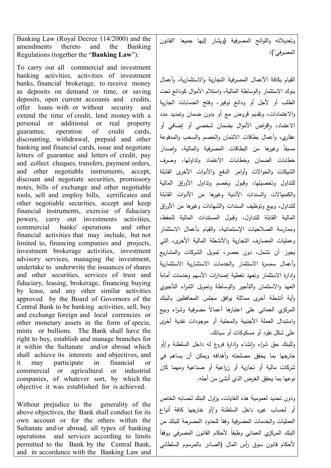Banking Law (Royal Decree 114/2000) and the amendments thereto and the Banking Regulations (together the "**Banking Law**"):

To carry out all commercial and investment banking activities, activities of investment banks, financial brokerage, to receive money as deposits on demand or time, or saving deposits, open current accounts and credits, offer loans with or without security and extend the time of credit, lend money with a personal or additional or real property guarantee, operation of credit cards, discounting, withdrawal, prepaid and other banking and financial cards, issue and negotiate letters of guarantee and letters of credit, pay and collect cheques, transfers, payment orders, and other negotiable instruments, accept, discount and negotiate securities, promissory notes, bills of exchange and other negotiable tools, sell and employ bills, certificates and other negotiable securities, accept and keep financial instruments, exercise of fiduciary powers, carry out investments activities, commercial banks' operations and other financial activities that may include, but not limited to, financing companies and projects, investment brokerage activities, investment advisory services, managing the investment, undertake to underwrite the issuances of shares and other securities, services of trust and fiduciary, leasing, brokerage, financing buying by lease, and any other similar activities approved by the Board of Governors of the Central Bank to be banking activities, sell, buy and exchange foreign and local currencies or other monetary assets in the form of specie, mints or bullions. The Bank shall have the right to buy, establish and manage branches for it within the Sultanate and/or abroad which shall achieve its interests and objectives, and it may participate in financial or commercial or agricultural or industrial companies, of whatever sort, by which the objective it was established for is achieved.

Without prejudice to the generality of the above objectives, the Bank shall conduct for its own account or for the others within the Sultanate and/or abroad, all types of banking operations and services according to limits permitted to the Bank by the Central Bank, and in accordance with the Banking Law and

وتعدیلاته واللوائح المصرفیة (ویشار إلیها جمیعا "القانون المصرفي"):

القیام بكافة الأعمال المصرفیة التجاریة و الاستثماریة، وأعمال بنوك الاستثمار والوساطة المالیة، و استلام الأموال كودائع تحت الطلب أو لأجل أو ودائع توفیر، وفتح الحسابات الجاریة والاعتمادات، وتقدیم قروض مع أو بدون ضمان وتمدید مدد الاعتماد، وإقراض الأموال بضمان شخصي أو إضافي أو عقاري، وأعمال بطاقات الائتمان والخصم والسحب والمدفوعة مسبقا وغيرها من البطاقات المصرفية والمالية، وإصدار خطابات الضمان وخطابات الاعتماد وتداولها، وصر ف الشیكات والحوالات وأوامر الدفع والأدوات الأخرى القابلة للتداول وتحصیلها، وقبول وخصم وتداول الأوراق المالیة والكمبیالات والسندات الأذنیة وغیرها من الأدوات القابلة للتداول، وبیع وتوظیف السندات والشهادات وغیرها من الأوراق المالیة القابلة للتداول، وقبول المستندات المالیة للحفظ، وممارسة الصلاحیات الإستئمانیة، والقیام بأعمال الاستثمار وعملیات المصارف التجاریة والأنشطة المالیة الأخرى، التي یجوز أن تشمل، دون حصر، تمویل الشركات والمشاریع وأعمال سمسرة الاستثمار والخدمات الاستشاریة الاستثماریة وادارة الاستثمار وتعهد تغطیة إصدارات الأسهم وخدمات أمانة العهد والاستئمان والتأجیر والوساطة وتمویل الشراء التأجیري وأیة أنشطة أخرى مماثلة یوافق مجلس المحافظین بالبنك لمركزي العماني على اعتبارها أعمالا مصرفية وشراء وبيع واستبدال العملة الأجنبیة والمحلیة أو موجودات نقدیة أخرى على شكل نقود أو مسكوكات أو سبائك.

رللبنك حق شراء وإنشاء وإدارة فروع له داخل السلطنة و/أو خارجها بما یحقق مصلحته وأهدافه ویمكن أن یساهم في شركات مالیة أو تجاریة أو زراعیة أو صناعیة ومهما كان نوعها بما یحقق الغرض الذي أنشئ من أجله.

ودون تحدید لعمومیة هذه الغایات، یزاول البنك لحسابه الخاص أو لحساب غیره داخل السلطنة و/أو خارجها كافة أنواع العمليات والخدمات المصرفية وفقا للحدود المصرحة للبنك من البنك المركزي العماني وطبقا لأحكام القانون المصرفي ووفقا لأحكام قانون سوق رأس المال (الصادر بالمرسوم السلطاني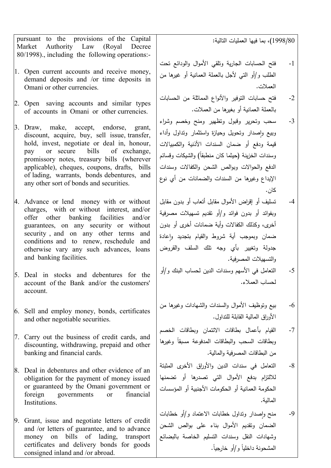pursuant to the provisions of the Capital Market Authority Law (Royal Decree 80/1998)., including the following operations:-

- 1. Open current accounts and receive money, demand deposits and /or time deposits in Omani or other currencies.
- 2. Open saving accounts and similar types of accounts in Omani or other currencies.
- 3. Draw, make, accept, endorse, grant, discount, acquire, buy, sell issue, transfer, hold, invest, negotiate or deal in, honour, pay or secure bills of exchange, promissory notes, treasury bills (wherever applicable), cheques, coupons, drafts, bills of lading, warrants, bonds debentures, and any other sort of bonds and securities.
- 4. Advance or lend money with or without charges, with or without interest, and/or offer other banking facilities and/or guarantees, on any security or without security, and on any other terms and conditions and to renew, reschedule and otherwise vary any such advances, loans and banking facilities.
- 5. Deal in stocks and debentures for the account of the Bank and/or the customers' account.
- 6. Sell and employ money, bonds, certificates and other negotiable securities.
- 7. Carry out the business of credit cards, and discounting, withdrawing, prepaid and other banking and financial cards.
- 8. Deal in debentures and other evidence of an obligation for the payment of money issued or guaranteed by the Omani government or foreign governments or financial Institutions.
- 9. Grant, issue and negotiate letters of credit and /or letters of guarantee, and to advance money on bills of lading, transport certificates and delivery bonds for goods consigned inland and /or abroad.

1998/80)، بما فیها العملیات التالیة:

- -1 فتح الحسابات الجاریة وتلقي الأموال والودائع تحت الطلب و/أو التي لأجل بالعملة العمانیة أو غیرها من العملات.
- -2 فتح حسابات التوفیر والأنواع المماثلة من الحسابات بالعملة العمانیة أو بغیرها من العملات.
- -3 سحب وتحریر وقبول وتظهیر ومنح وخصم وشراء وبیع واصدار وتحویل وحیازة واستثمار وتداول وأداء قیمة ودفع أو ضمان السندات الأذنیة والكمبیالات ً وسندات الخزینة (حیثما كان منطبقا) والشیكات وقسائم الدفع والحوالات وبوالص الشحن والكفالات وسندات الإیداع وغیرها من السندات والضمانات من أي نوع كان.
- -4 تسلیف أو إقراض الأموال مقابل أتعاب أو بدون مقابل وبفوائد أو بدون فوائد و/أو تقدیم تسهیلات مصرفیة أخرى، وكذلك الكفالات وأیة ضمانات أخرى أو بدون ضمان وبموجب أية شروط والقيام بتجديد وإعادة جدولة وتغییر بأي وجه تلك السلف والقروض والتسهیلات المصرفیة.
- -5 التعامل في الأسهم وسندات الدین لحساب البنك و/أو لحساب العملاء.
- -6 بیع وتوظیف الأموال والسندات والشهادات وغیرها من الأوراق المالیة القابلة للتداول.
- -7 القیام بأعمال بطاقات الائتمان و بطاقات الخصم وبطاقات السحب والبطاقات المدفوعة مسبقا وغيرها من البطاقات المصرفیة والمالیة.
- -8 التعامل في سندات الدین والأوراق الأخرى المثبتة للالتزام بدفع الأموال التي تصدرها أو تضمنها الحكومة العمانیة أو الحكومات الأجنبیة أو المؤسسات المالیة.
- -9 ٕ منح واصدار وتداول خطابات الاعتماد و/أو خطابات الضمان وتقدیم الأموال بناء على بوالص الشحن وشهادات النقل وسندات التسلیم الخاصة بالبضائع المشحونة داخليا و/أو خارجيا.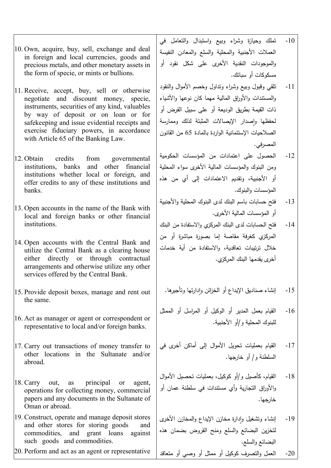- 10. Own, acquire, buy, sell, exchange and deal in foreign and local currencies, goods and precious metals, and other monetary assets in the form of specie, or mints or bullions.
- 11. Receive, accept, buy, sell or otherwise negotiate and discount money, specie, instruments, securities of any kind, valuables by way of deposit or on loan or for safekeeping and issue evidential receipts and exercise fiduciary powers, in accordance with Article 65 of the Banking Law.
- 12. Obtain credits from governmental institutions, banks and other financial institutions whether local or foreign, and offer credits to any of these institutions and banks.
- 13. Open accounts in the name of the Bank with local and foreign banks or other financial institutions.
- 14. Open accounts with the Central Bank and utilize the Central Bank as a clearing house either directly or through contractual arrangements and otherwise utilize any other services offered by the Central Bank.
- 15. Provide deposit boxes, manage and rent out the same.
- 16. Act as manager or agent or correspondent or representative to local and/or foreign banks.
- 17. Carry out transactions of money transfer to other locations in the Sultanate and/or abroad.
- 18. Carry out, as principal or agent, operations for collecting money, commercial papers and any documents in the Sultanate of Oman or abroad.
- 19. Construct, operate and manage deposit stores and other stores for storing goods and commodities, and grant loans against such goods and commodities.
- 20. Perform and act as an agent or representative
- -10 تملك وحیازة وشراء وبیع واستبدال والتعامل في العملات الأجنبیة والمحلیة والسلع والمعادن النفیسة والموجودات النقدیة الأخرى على شكل نقود أو مسكوكات أو سبائك.
- -11 تلقي وقبول وبیع وشراء وتداول وخصم الأموال والنقود والمستندات والأوراق المالیة مهما كان نوعها والأشیاء ذات القیمة بطریق الودیعة أو على سبیل القرض أو حفظها وإصدار الإيصالات المثبتة لذلك وممارسة الصلاحیات الإستئمانیة الواردة بالمادة 65 من القانون المصرفي.
- -12 الحصول على اعتمادات من المؤسسات الحكومیة و من البنوك والمؤسسات المالیة الأخرى سواء المحلیة أو الأجنبیة، وتقدیم الاعتمادات إلى أي من هذه المؤسسات والبنوك.
- -13 فتح حسابات باسم البنك لدى البنوك المحلیة والأجنبیة أو المؤسسات المالیة الأخرى.
- -14 فتح الحسابات لدى البنك المركزي والاستفادة من البنك المركزي كغرفة مقاصة إما بصورة مباشرة أو من خلال ترتیبات تعاقدیة، والاستفادة من أیة خدمات أخرى یقدمها البنك المركزي.
	- -15 ٕ إنشاء صنادیق الإیداع أو الخزائن وادارتها وتأجیرها.
- -16 القیام بعمل المدیر أو الوكیل أو المراسل أو الممثل للبنوك المحلیة و/أو الأجنبیة.
- -17 القیام بعملیات تحو یل الأموال إلى أماكن أخرى في السلطنة و/ أو خارجها.
- -18 القیام، كأصیل و/أو كوكیل، بعملیات تحصیل الأموال والأوراق التجاریة وأي مستندات في سلطنة عمان أو خارجها.
- 19- إنشاء وتشغيل وإدارة مخازن الإيداع والمخازن الأخرى لتخزین البضائع والسلع ومنح القروض بضمان هذه البضائع والسلع.

-20 العمل والتصرف كوكیل أو ممثل أو وصي أو متعاقد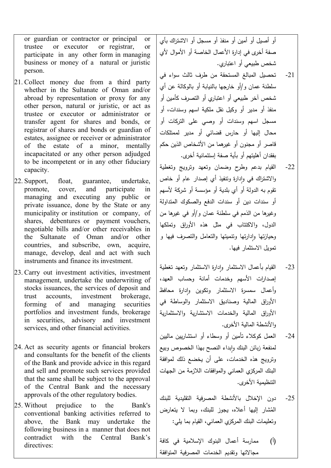or guardian or contractor or principal or trustee or executor or registrar, or participate in any other form in managing business or money of a natural or juristic person.

- 21. Collect money due from a third party whether in the Sultanate of Oman and/or abroad by representation or proxy for any other person, natural or juristic, or act as trustee or executor or administrator or transfer agent for shares and bonds, or registrar of shares and bonds or guardian of estates, assignee or receiver or administrator of the estate of a minor, mentally incapacitated or any other person adjudged to be incompetent or in any other fiduciary capacity.
- 22. Support, float, guarantee, undertake, promote, cover, and participate in managing and executing any public or private issuance, done by the State or any municipality or institution or company, of shares, debentures or payment vouchers, negotiable bills and/or other receivables in the Sultanate of Oman and/or other countries, and subscribe, own, acquire, manage, develop, deal and act with such instruments and finance its investment.
- 23. Carry out investment activities, investment management, undertake the underwriting of stocks issuances, the services of deposit and trust accounts, investment brokerage, forming of and managing securities portfolios and investment funds, brokerage in securities, advisory and investment services, and other financial activities.
- 24. Act as security agents or financial brokers and consultants for the benefit of the clients of the Bank and provide advice in this regard and sell and promote such services provided that the same shall be subject to the approval of the Central Bank and the necessary approvals of the other regulatory bodies.
- 25. Without prejudice to the Bank's conventional banking activities referred to above, the Bank may undertake the following business in a manner that does not contradict with the Central Bank's directives:

أو أصیل أو أمین أو منفذ أو مسجل أو الاشتراك بأي صفة أخرى في إدارة الأعمال الخاصة أو الأموال لأي شخص طبیعي أو اعتباري.

- -21 تحصیل المبالغ المستحقة من طرف ثالث سواء في سلطنة عمان و/أو خارجها بالنیابة أو بالوكالة عن أي شخص آخر طبیعي أو اعتباري أو التصرف كأمین أو منفذ أو مدیر أو وكیل نقل ملكیة اسهم وسندات، أو مسجل اسهم وسندات أو وصي على التركات أو محال إلیها أو حارس قضائي أو مدیر لممتلكات قاصر أو مجنون أو غیرهما من الأشخاص الذین حكم بفقدان أهلیتهم أو بأیة صفة إستئمانیة أخرى.
- -22 القیام بدعم وطرح وضمان وتعهد وترویج وتغطیة رالاشتراك في وإدارة ونتفيذ أي إصدار عام أو خاص تقوم به الدولة أو أي بلدیة أو مؤسسة أو شركة لأسهم أو سندات دین أو سندات الدفع والصكوك المتداولة وغیرها من الذمم في سلطنة عمان و/أو في غیرها من الدول، والاكتتاب في مثل هذه الأوراق وتملكها رحيازتها وإدارتها وتتميتها والتعامل والتصرف فيها و تمویل الاستثمار فیها.
- -23 ٕ القیام بأعمال الاستثمار وادارة الاستثمار وتعهد تغطیة إصدارات الأسهم وخدمات أمانة وحساب العهد، رأعمال سمسرة الاستثمار وتكوين وإدارة محافظ الأوراق المالیة وصنادیق الاستثمار والوساطة في الأوراق المالیة والخدمات الاستشاریة والاستثماریة والأنشطة المالیة الأخرى.
- -24 العمل كوكلاء تأمین أو وسطاء أو استشاریین مالیین لمنفعة زبائن البنك وابداء النصح بهذا الخصوص وبيع وترویج هذه الخدمات، على أن یخضع ذلك لموافقة البنك المركزي العماني والموافقات اللازمة من الجهات التنظیمیة الأخرى.
- -25 دون الإخلال بالأنشطة المصرفیة التقلیدیة للبنك المُشار إلیها أعلاه، یجوز للبنك، وبما لا یتعارض وتعلیمات البنك المركزي العماني، القیام بما یلي:
- (أ) ممارسة أعمال البنوك الإسلامیة في كافة مجالاتها وتقدیم الخدمات المصرفیة المتوافقة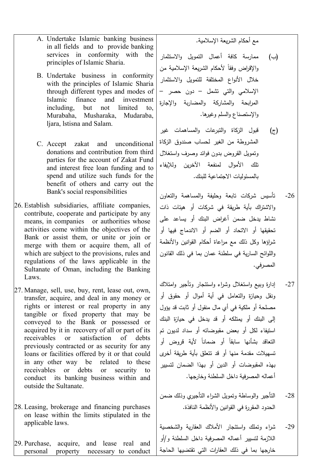مع أحكام الشریعة الإسلامیة.

- (ب) ممارسة كافة أعمال التمویل والاستثمار رالإقراض وفقا لأحكام الشريعة الإسلامية من خلال الأنواع المختلفة للتمویل والاستثمار الإسلامي والتي تشمل – دون حصر – المرابحة والمشاركة والمضاربة والإجارة والإستصناع والسلم وغیرها.
- (ج) قبول الزكاة والتبرعات والمساهمات غیر المشروطة من الغیر لحساب صندوق الزكاة وتمویل القروض بدون فوائد وصرف واستغلال تلك الأموال لمنفعة الآخرین وللإیفاء بالمسئولیات الاجتماعیة للبنك.
- -26 تأسیس شركات تابعة وحلیفة والمساهمة والتعاون والاشتراك بأیة طریقة في شركات أو هیئات ذات نشاط یدخل ضمن أغراض البنك أو یساعد على تحقیقها أو الاتحاد أو الضم أو الاندماج فیها أو شراؤها وكل ذلك مع مراعاة أحكام القوانین والأنظمة واللوائح الساریة في سلطنة عمان بما في ذلك القانون المصرفي.
- -27 إدارة وبیع واستغلال وشراء واستئجار وتأجیر وامتلاك ونقل وحیازة والتعامل في أیة أموال أو حقوق أو مصلحة أو ملكیة في أي مال منقول أو ثابت قد یؤول إلى البنك أو یمتلكه أو قد یدخل في حیازة البنك استیفاء لكل أو بعض مقبوضاته أو سداد لدیون تم التعاقد بشأنها سابقا أو ضمانا لأية قروض أو تسهیلات مقدمة منها أو قد تتعلق بأیة طریقة أخرى بهذه المقبوضات أو الدین أو بهذا الضمان لتسییر أعماله المصرفیة داخل السلطنة وخارجها.
- -28 التأجیر والوساطة وتمویل الشراء التأجیري وذلك ضمن الحدود المقررة في القوانین والأنظمة النافذة.
- -29 شراء وتملك واستئجار الأملاك العقاریة والشخصیة اللازمة لتسییر أعماله المصرفیة داخل السلطنة و/أو خارجها بما في ذلك العقارات التي تقتضیها الحاجة
- A. Undertake Islamic banking business in all fields and to provide banking services in conformity with the principles of Islamic Sharia.
- B. Undertake business in conformity with the principles of Islamic Sharia through different types and modes of Islamic finance and investment including, but not limited to, Murabaha, Musharaka, Mudaraba, ljara, lstisna and Salam.
- C. Accept zakat and unconditional donations and contribution from third parties for the account of Zakat Fund and interest free loan funding and to spend and utilize such funds for the benefit of others and carry out the Bank's social responsibilities
- 26. Establish subsidiaries, affiliate companies, contribute, cooperate and participate by any means, in companies or authorities whose activities come within the objectives of the Bank or assist them, or unite or join or merge with them or acquire them, all of which are subject to the provisions, rules and regulations of the laws applicable in the Sultanate of Oman, including the Banking Laws.
- 27. Manage, sell, use, buy, rent, lease out, own, transfer, acquire, and deal in any money or rights or interest or real property in any tangible or fixed property that may be conveyed to the Bank or possessed or acquired by it in recovery of all or part of its receivables or satisfaction of debts previously contracted or as security for any loans or facilities offered by it or that could in any other way be related to these receivables or debts or security to conduct its banking business within and outside the Sultanate.
- 28. Leasing, brokerage and financing purchases on lease within the limits stipulated in the applicable laws.

29. Purchase, acquire, and lease real and personal property necessary to conduct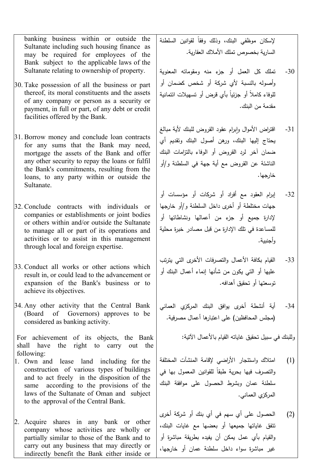banking business within or outside the Sultanate including such housing finance as may be required for employees of the Bank subject to the applicable laws of the Sultanate relating to ownership of property.

- 30. Take possession of all the business or part thereof, its moral constituents and the assets of any company or person as a security or payment, in full or part, of any debt or credit facilities offered by the Bank.
- 31. Borrow money and conclude loan contracts for any sums that the Bank may need, mortgage the assets of the Bank and offer any other security to repay the loans or fulfil the Bank's commitments, resulting from the loans, to any party within or outside the Sultanate.
- 32. Conclude contracts with individuals or companies or establishments or joint bodies or others within and/or outside the Sultanate to manage all or part of its operations and activities or to assist in this management through local and foreign expertise.
- 33. Conduct all works or other actions which result in, or could lead to the advancement or expansion of the Bank's business or to achieve its objectives.
- 34. Any other activity that the Central Bank (Board of Governors) approves to be considered as banking activity.

For achievement of its objects, the Bank shall have the right to carry out the following:

- 1. Own and lease land including for the construction of various types of buildings and to act freely in the disposition of the same according to the provisions of the laws of the Sultanate of Oman and subject to the approval of the Central Bank.
- 2. Acquire shares in any bank or other company whose activities are wholly or partially similar to those of the Bank and to carry out any business that may directly or indirectly benefit the Bank either inside or

لإسكان موظفي البنك، وذلك وفقا لقوانين السلطنة الساریة بخصوص تملك الأملاك العقاریة.

- -30 تملك كل العمل أو جزء منه ومقوماته المعنویة وأصوله بالنسبة لأي شركة أو شخص كضمان أو لموفاء كاملا أو جزئيا بأي قرض أو تسهيلات ائتمانية مقدمة من البنك.
- 31- اقتراض الأموال وإبرام عقود القروض للبنك لأية مبالغ یحتاج إلیها البنك، ورهن أصول البنك وتقدیم أي ضمان آخر لرد القروض أو الوفاء بالتزامات البنك الناشئة عن القروض مع أیة جهة في السلطنة و/أو خارجها.
- -32 إبرام العقود مع أفراد أو شركات أو مؤسسات أو جهات مختلطة أو أخرى داخل السلطنة و/أو خارجها لإدارة جمیع أو جزء من أعمالها ونشاطاتها أو للمساعدة في تلك الإدارة من قبل مصادر خبرة محلیة وأجنبیة.
- -33 القیام بكافة الأعمال والتصرفات الأخرى التي یترتب علیها أو التي یكون من شأنها إنماء أعمال البنك أو توسعتها أو تحقیق أهدافه.
- -34 أیة أنشطة أخرى یوافق البنك المركزي العماني (مجلس المحافظین) على اعتبارها أعمال مصرفیة.

وللبنك في سبیل تحقیق غایاته القیام بالأعمال الآتیة:

- (1) امتلاك و استئجار الأراضي لإقامة المنشآت المختلفة رالتصرف فيها بحرية طبقا للقوانين المعمول بها في سلطنة عمان وبشرط الحصول على موافقة البنك المركزي العماني.
- (2) الحصول على أي سهم في أي بنك أو شركة أخرى تتفق غایاتها جمیعها أو بعضها مع غایات البنك، والقیام بأي عمل یمكن أن یفیده بطریقة مباشرة أو غیر مباشرة سواء داخل سلطنة عمان أو خارجها،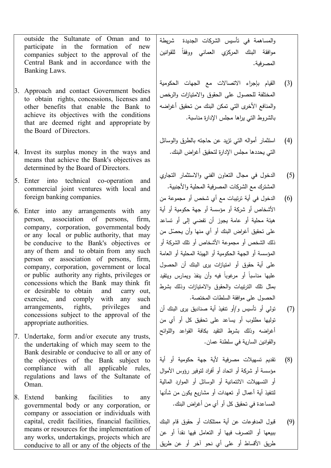outside the Sultanate of Oman and to participate in the formation of new companies subject to the approval of the Central Bank and in accordance with the Banking Laws.

- 3. Approach and contact Government bodies to obtain rights, concessions, licenses and other benefits that enable the Bank to achieve its objectives with the conditions that are deemed right and appropriate by the Board of Directors.
- 4. Invest its surplus money in the ways and means that achieve the Bank's objectives as determined by the Board of Directors.
- 5. Enter into technical co-operation and commercial joint ventures with local and foreign banking companies.
- 6. Enter into any arrangements with any person, association of persons, firm, company, corporation, governmental body or any local or public authority, that may be conducive to the Bank's objectives or any of them and to obtain from any such person or association of persons, firm, company, corporation, government or local or public authority any rights, privileges or concessions which the Bank may think fit or desirable to obtain and carry out, exercise, and comply with any such arrangements, rights, privileges and concessions subject to the approval of the appropriate authorities.
- 7. Undertake, form and/or execute any trusts, the undertaking of which may seem to the Bank desirable or conducive to all or any of the objectives of the Bank subject to compliance with all applicable rules, regulations and laws of the Sultanate of Oman.
- 8. Extend banking facilities to any governmental body or any corporation, or company or association or individuals with capital, credit facilities, financial facilities, means or resources for the implementation of any works, undertakings, projects which are conducive to all or any of the objects of the

والمساهمة في تأسیس الشركات الجدیدة شریطة موافقة البنك المركزي العماني ووفقا للقوانين المصرفیة.

- (3) القیام بإجراء الاتصالات مع الجهات الحكومیة المختلفة للحصول على الحقوق والامتیازات والرخص والمنافع الأخرى التي تمكن البنك من تحقیق أغراضه بالشروط التي یراها مجلس الإدارة مناسبة.
- (4) استثمار أمواله التي تزید عن حاجته بالطرق والوسائل التي یحددها مجلس الإدارة لتحقیق أغراض البنك.
- (5) الدخول في مجال التعاون الفني والاستثمار التجاري المشترك مع الشركات المصرفیة المحلیة والأجنبیة.
- (6) الدخول في أیة ترتیبات مع أي شخص أو مجموعة من الأشخاص أو شركة أو مؤسسة أو جهة حكومیة أو أیة هیئة محلیة أو عامة یجوز أن تفضي إلى أو تساعد ّ على تحقیق أغراض البنك أو أي منها وأن یحصل من ذلك الشخص أو مجموعة الأشخاص أو تلك الشركة أو المؤسسة أو الجهة الحكومیة أو الهیئة المحلیة أو العامة على أیة حقوق أو امتیازات یرى البنك أن الحصول علیها مناسبا أو مرغوبا فیه وأن بنفذ ویمارس ویتقید بمثل تلك الترتیبات والحقوق والامتیازات وذلك بشرط الحصول على موافقة السلطات المختصة.
- (7) تولي أو تأسیس و/أو تنفیذ أیة صنادیق یرى البنك أن تولیها مطلوب أو یساعد على تحقیق كل أو أي من أغراضه وذلك بشرط التقید بكافة القواعد واللوائح والقوانین الساریة في سلطنة عمان.
- (8) تقدیم تسهیلات مصرفیة لأیة جهة حكومیة أو أیة مؤسسة أو شركة أو اتحاد أو أفراد لتوفیر رؤوس الأموال أو التسهیلات الائتمانیة أو الوسائل أو الموارد المالیة لتنفیذ أیة أعمال أو تعهدات أو مشاریع یكون من شأنها المساعدة في تحقیق كل أو أي من أغراض البنك.
- (9) قبول المدفوعات عن أیة ممتلكات أو حقوق قام البنك ببیعها أو التصرف فیها أو التعامل فیها نقدا أو عن طریق الأقساط أو على أي نحو آخر أو عن طریق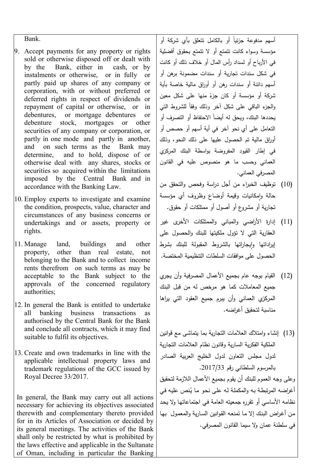Bank.

- 9. Accept payments for any property or rights sold or otherwise disposed off or dealt with by the Bank, either in cash, or by instalments or otherwise, or in fully or partly paid up shares of any company or corporation, with or without preferred or deferred rights in respect of dividends or repayment of capital or otherwise, or in debentures, or mortgage debentures or debenture stock, mortgages or other securities of any company or corporation, or partly in one mode and partly in another, and on such terms as the Bank may determine, and to hold, dispose of or otherwise deal with any shares, stocks or securities so acquired within the limitations imposed by the Central Bank and in accordance with the Banking Law.
- 10. Employ experts to investigate and examine the condition, prospects, value, character and circumstances of any business concerns or undertakings and or assets, property or rights.
- 11. Manage land, buildings and other property, other than real estate, not belonging to the Bank and to collect income rents therefrom on such terms as may be acceptable to the Bank subject to the approvals of the concerned regulatory authorities;
- 12. In general the Bank is entitled to undertake all banking business transactions as authorised by the Central Bank for the Bank and conclude all contracts, which it may find suitable to fulfil its objectives.
- 13. Create and own trademarks in line with the applicable intellectual property laws and trademark regulations of the GCC issued by Royal Decree 33/2017.

In general, the Bank may carry out all actions necessary for achieving its objectives associated therewith and complementary thereto provided for in its Articles of Association or decided by its general meetings. The activities of the Bank shall only be restricted by what is prohibited by the laws effective and applicable in the Sultanate of Oman, including in particular the Banking

ًسهم مدفوعة جزئيا أو بالكامل تتعلق بأ*ي* شركة أو مؤسسة وسواء كانت تتمتع أو لا تتمتع بحقوق أفضلیة في الأرباح أو لسداد رأس المال أو خلاف ذلك أو كانت في شكل سندات تجاریة أو سندات مضمونة برهن أو أسهم دائنة أو سندات رهن أو أوراق مالیة خاصة بأیة شركة أو مؤسسة أو كان جزءً منها على شكل معين<br>. رالجزء الباقي على شكل أخر وذلك وفقا للشروط التي بحددها البنك، ويحق له أيضا الاحتفاظ أو التصرف أو التعامل على أي نحو آخر في أیة أسهم أو حصص أو أوراق مالیة تم الحصول علیها على ذلك النحو، وذلك في إطار القیود المفروضة بواسطة البنك المركزي العماني وحسب ما هو منصوص علیه في القانون المصرفي العماني.

- (10) توظیف الخبراء من أجل دراسة وفحص والتحقق من حالة وإمكانيات وقيمة أوضاع وظروف أي مؤسسة تجاریة أو مشروع أو أصول أو ممتلكات أو حقوق.
- (11) إدارة الأراضي والمباني والممتلكات الأخرى غیر العقاریة التي لا تؤول ملكیتها للبنك والحصول على <sub>ل</sub>یراداتها وإيجاراتها بالشروط المقبولة للبنك بشرط الحصول على موافقات السلطات التنظیمیة المختصة.
- (12) القیام بوجه عام بجمیع الأعمال المصرفیة وأن یجري جمیع المعاملات كما هو مرخص له من قبل البنك المركزي العماني وأن یبرم جمیع العقود التي یراها مناسبة لتحقیق أغراضه.
- (13) إنشاء وامتلاك العلامات التجاریة بما یتماشى مع قوانین الملكیة الفكریة الساریة وقانون نظام العلامات التجاریة لدول مجلس التعاون لدول الخلیج العربیة الصادر بالمرسوم السلطاني رقم .2017/33

وعلى وجه العموم للبنك أن یقوم بجمیع الأعمال اللازمة لتحقیق أغراضه المرتبطـة بـه والمكملـة لـه علـى نحو مـا يُنص عليـه فـي نظامه الأساسي أو تقرره جمعیته العامة فـي اجتماعاتهـا ولا یحـد مـن أغـراض البنـك إلا مـا تمنعـه القـو انین السـاریة والمعمـول بهـا في سلطنة عمان ولا سیما القانون المصرفي.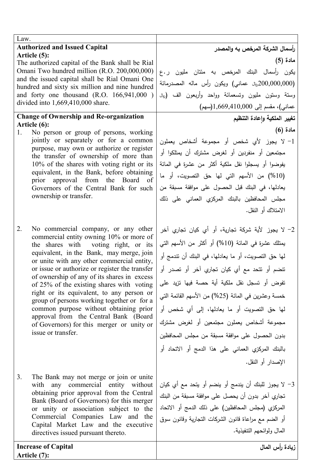| Law.                                                                                            |                                                               |  |
|-------------------------------------------------------------------------------------------------|---------------------------------------------------------------|--|
| <b>Authorized and Issued Capital</b>                                                            | رأسمال الشركة المرخص به والمصدر                               |  |
| Article (5):<br>The authorized capital of the Bank shall be Rial                                | مادة (5)                                                      |  |
| Omani Two hundred million (R.O. 200,000,000)                                                    | يكون رأسمال البنك المرخص به مئتان مليون ر ع                   |  |
| and the issued capital shall be Rial Omani One                                                  | (200,000,000ريان عماني) ويكون رأس ماله المصدرمائة             |  |
| hundred and sixty six million and nine hundred<br>and forty one thousand $(R.O. 166, 941, 000)$ | وستة وستون مليون وتسعمائة وواحد وأربعون الف ( <sub>ريال</sub> |  |
| divided into 1,669,410,000 share.                                                               |                                                               |  |
|                                                                                                 | عماني)، مقسم إلى 1,669,410,000(سهم)                           |  |
| <b>Change of Ownership and Re-organization</b><br>Article (6):                                  | تغيير الملكية وإعادة التنظيم                                  |  |
| No person or group of persons, working<br>1.                                                    | مادة (6)                                                      |  |
| jointly or separately or for a common                                                           | 1- لا يجوز لأي شخص أو مجموعة أشخاص يعملون                     |  |
| purpose, may own or authorize or register<br>the transfer of ownership of more than             | مجتمعين أو منفردين أو لغرض مشترك أن يمتلكوا أو                |  |
| 10% of the shares with voting right or its                                                      | يفوضوا أو يسجلوا نقل ملكية أكثر من عشرة في المائة             |  |
| equivalent, in the Bank, before obtaining                                                       | (10%) من الأسهم التي لها حق التصويت، أو ما                    |  |
| prior approval from<br>the Board<br><sub>of</sub><br>Governors of the Central Bank for such     | يعادلها، في البنك قبل الحصول على موافقة مسبقة من              |  |
| ownership or transfer.                                                                          | مجلس المحافظين بالبنك المركزي العماني على ذلك                 |  |
|                                                                                                 | الامتلاك أو النقل.                                            |  |
|                                                                                                 |                                                               |  |
| 2.<br>No commercial company, or any other                                                       | 2- لا يجوز لأية شركة تجارية، أو أي كيان تجاري آخر             |  |
| commercial entity owning 10% or more of                                                         | يمثلك عشرة في المائة (10%) أو أكثر من الأسهم التي             |  |
| the shares with voting right, or its<br>equivalent, in the Bank, may merge, join                |                                                               |  |
| or unite with any other commercial entity,                                                      | لمها حق النصويت، أو ما يعادلها، في البنك أن نتدمج أو          |  |
| or issue or authorize or register the transfer                                                  | نتضم أو نتحد مع أي كيان تجاري آخر أو نصدر أو                  |  |
| of ownership of any of its shares in excess<br>of 25% of the existing shares with voting        | نفوض أو تسجل نقل ملكية أية حصة فيها تزيد على                  |  |
| right or its equivalent, to any person or<br>group of persons working together or for a         | خمسة وعشرين في المائة (25%) من الأسهم القائمة التي            |  |
| common purpose without obtaining prior                                                          | لمها حق النصويت أو ما يعادلها، إلى أي شخص أو                  |  |
| approval from the Central Bank (Board<br>of Governors) for this merger or unity or              | مجموعة أشخاص يعملون مجتمعين أو لغرض مشترك                     |  |
| issue or transfer.                                                                              | بدون الحصول على موافقة مسبقة من مجلس المحافظين                |  |
|                                                                                                 | بالبنك المركزي العماني على هذا الدمج أو الاتحاد أو            |  |
|                                                                                                 | الإصدار أو النقل.                                             |  |
|                                                                                                 |                                                               |  |
| 3.<br>The Bank may not merge or join or unite                                                   | 3– لا يجوز للبنك أن يندمج أو ينضم أو يتحد مع أي كيان          |  |
| with any commercial entity without<br>obtaining prior approval from the Central                 | تجاري آخر بدون أن يحصل على موافقة مسبقة من البنك              |  |
| Bank (Board of Governors) for this merger                                                       | المركزي (مجلس المحافظين) على ذلك الدمج أو الاتحاد             |  |
| or unity or association subject to the<br>Commercial Companies Law and the                      |                                                               |  |
| Capital Market Law and the executive                                                            | أو الضم مع مراعاة قانون الشركات التجارية وقانون سوق           |  |
| directives issued pursuant thereto.                                                             | المال ولوائحهم التتفيذية.                                     |  |
| <b>Increase of Capital</b>                                                                      | زيادة رأس المال                                               |  |

**Article (7):**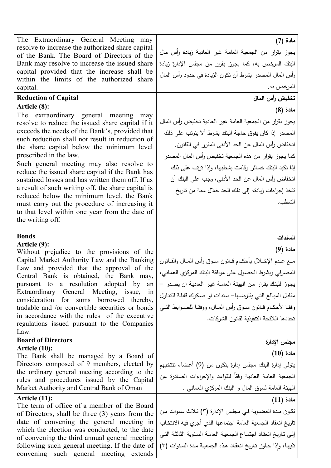| The Extraordinary General Meeting may<br>مادة (7)<br>resolve to increase the authorized share capital<br>يجوز بقرار من الجمعية العامة غير العادية زيادة رأس مال<br>of the Bank. The Board of Directors of the<br>البنك المرخص به، كما يجوز بقرار من مجلس الإدارة زيادة<br>Bank may resolve to increase the issued share<br>capital provided that the increase shall be<br>رأس المال المصدر بشرط أن نكون الزيادة في حدود رأس المال<br>within the limits of the authorized share<br>المرخص به.<br>capital.<br><b>Reduction of Capital</b><br>تخفيض رأس المال<br>Article (8):<br>مادة (8)<br>The extraordinary general meeting may<br>يجوز بقرار من الجمعية العامة غير العادية تخفيض رأس المال<br>resolve to reduce the issued share capital if it<br>exceeds the needs of the Bank's, provided that<br>المصدر إذا كان يفوق حاجة البنك بشرط ألا يترتب على ذلك<br>such reduction shall not result in reduction of<br>انخفاض رأس المال عن الحد الأدنى المقرر في القانون.<br>the share capital below the minimum level<br>prescribed in the law.<br>كما يجوز بقرار من هذه الجمعية تخفيض رأس المال المصدر<br>Such general meeting may also resolve to<br>إذا نكبد البنك خسائر وقامت بشطبها، وإذا نرتب على ذلك<br>reduce the issued share capital if the Bank has<br>انخفاض رأس المال عن الحد الأدنى، وجب على البنك أن<br>sustained losses and has written them off. If as<br>a result of such writing off, the share capital is<br>نتخذ إجراءات زيادته إلى ذلك الحد خلال سنة من تاريخ<br>reduced below the minimum level, the Bank<br>الشطب.<br>must carry out the procedure of increasing it<br>to that level within one year from the date of<br>the writing off.<br><b>Bonds</b><br>السندات<br>Article (9):<br>مادة (9)<br>Without prejudice to the provisions of the<br>Capital Market Authority Law and the Banking<br>ممع عـدم الإخــلال بأحكــام قــانون ســوق رأس المــال والقــانون<br>Law and provided that the approval of the<br>المصرفي وبشرط الحصول على موافقة البنك المركزي العماني،<br>Central Bank is obtained, the Bank may,<br>pursuant to a resolution adopted by<br>يجوز للبنك بقرار من الهيئة العامة غير العادية ان يصدر –<br>an<br>Extraordinary General Meeting, issue,<br>1n<br>مقابل المبالغ التي يقترضها– سندات او صكوك قابلة للتداول<br>consideration<br>for sums borrowed thereby,<br>وفقـا لأحكــام قــانون ســوق رأس المــال، ووفقـا للضــوابط التــي<br>tradable and /or convertible securities or bonds<br>in accordance with the rules of the executive<br>تحددها اللائحة التتفيذية لقانون الشركات.<br>regulations issued pursuant to the Companies<br>Law.<br><b>Board of Directors</b><br>مجلس الإدارة<br>Article (10):<br>مادة (10)<br>The Bank shall be managed by a Board of<br>Directors composed of 9 members, elected by<br>يتولَّى إدارة البنك مجلس إدارة يتكون من (9) أعضاء تتنخبهم<br>the ordinary general meeting according to the<br>الجمعية العامة العادية وفقأ للقواعد والإجراءات الصادرة عن<br>rules and procedures issued by the Capital<br>الـهيئة الـعامة لسوق الممال و البنك المركزي الـعمانـي .<br>Market Authority and Central Bank of Oman<br>Article (11):<br>مادة (11)<br>The term of office of a member of the Board<br>تكون مدة العضوية في مجلس الإدارة (٣) ثلاث سنوات من<br>of Directors, shall be three (3) years from the<br>date of convening the general meeting in<br>تاريخ انعقاد الجمعية العامة اجتماعها الذي أجري فيه الانتخاب<br>which the election was conducted, to the date<br>إلى تـاريخ انعقـاد اجتمـاع الجمعيـة العامـة السنوية الثالثـة التـي<br>of convening the third annual general meeting<br>تليها، وإذا جاوز تاريخ انعقاد هذه الجمعية مدة السنوات (٣)<br>following such general meeting. If the date of |                                        |  |
|--------------------------------------------------------------------------------------------------------------------------------------------------------------------------------------------------------------------------------------------------------------------------------------------------------------------------------------------------------------------------------------------------------------------------------------------------------------------------------------------------------------------------------------------------------------------------------------------------------------------------------------------------------------------------------------------------------------------------------------------------------------------------------------------------------------------------------------------------------------------------------------------------------------------------------------------------------------------------------------------------------------------------------------------------------------------------------------------------------------------------------------------------------------------------------------------------------------------------------------------------------------------------------------------------------------------------------------------------------------------------------------------------------------------------------------------------------------------------------------------------------------------------------------------------------------------------------------------------------------------------------------------------------------------------------------------------------------------------------------------------------------------------------------------------------------------------------------------------------------------------------------------------------------------------------------------------------------------------------------------------------------------------------------------------------------------------------------------------------------------------------------------------------------------------------------------------------------------------------------------------------------------------------------------------------------------------------------------------------------------------------------------------------------------------------------------------------------------------------------------------------------------------------------------------------------------------------------------------------------------------------------------------------------------------------------------------------------------------------------------------------------------------------------------------------------------------------------------------------------------------------------------------------------------------------------------------------------------------------------------------------------------------------------------------------------------------------------------------------------------------------------------------------------------------------------------------------------------------------------------------------------------------------------------------------------------------------------------------------------------------------------------------------------------------------------------------------------------------------------------------------------------------------------------------------------------------------------------------------------------------------------------------------------------------------------|----------------------------------------|--|
|                                                                                                                                                                                                                                                                                                                                                                                                                                                                                                                                                                                                                                                                                                                                                                                                                                                                                                                                                                                                                                                                                                                                                                                                                                                                                                                                                                                                                                                                                                                                                                                                                                                                                                                                                                                                                                                                                                                                                                                                                                                                                                                                                                                                                                                                                                                                                                                                                                                                                                                                                                                                                                                                                                                                                                                                                                                                                                                                                                                                                                                                                                                                                                                                                                                                                                                                                                                                                                                                                                                                                                                                                                                                                      |                                        |  |
|                                                                                                                                                                                                                                                                                                                                                                                                                                                                                                                                                                                                                                                                                                                                                                                                                                                                                                                                                                                                                                                                                                                                                                                                                                                                                                                                                                                                                                                                                                                                                                                                                                                                                                                                                                                                                                                                                                                                                                                                                                                                                                                                                                                                                                                                                                                                                                                                                                                                                                                                                                                                                                                                                                                                                                                                                                                                                                                                                                                                                                                                                                                                                                                                                                                                                                                                                                                                                                                                                                                                                                                                                                                                                      |                                        |  |
|                                                                                                                                                                                                                                                                                                                                                                                                                                                                                                                                                                                                                                                                                                                                                                                                                                                                                                                                                                                                                                                                                                                                                                                                                                                                                                                                                                                                                                                                                                                                                                                                                                                                                                                                                                                                                                                                                                                                                                                                                                                                                                                                                                                                                                                                                                                                                                                                                                                                                                                                                                                                                                                                                                                                                                                                                                                                                                                                                                                                                                                                                                                                                                                                                                                                                                                                                                                                                                                                                                                                                                                                                                                                                      |                                        |  |
|                                                                                                                                                                                                                                                                                                                                                                                                                                                                                                                                                                                                                                                                                                                                                                                                                                                                                                                                                                                                                                                                                                                                                                                                                                                                                                                                                                                                                                                                                                                                                                                                                                                                                                                                                                                                                                                                                                                                                                                                                                                                                                                                                                                                                                                                                                                                                                                                                                                                                                                                                                                                                                                                                                                                                                                                                                                                                                                                                                                                                                                                                                                                                                                                                                                                                                                                                                                                                                                                                                                                                                                                                                                                                      |                                        |  |
|                                                                                                                                                                                                                                                                                                                                                                                                                                                                                                                                                                                                                                                                                                                                                                                                                                                                                                                                                                                                                                                                                                                                                                                                                                                                                                                                                                                                                                                                                                                                                                                                                                                                                                                                                                                                                                                                                                                                                                                                                                                                                                                                                                                                                                                                                                                                                                                                                                                                                                                                                                                                                                                                                                                                                                                                                                                                                                                                                                                                                                                                                                                                                                                                                                                                                                                                                                                                                                                                                                                                                                                                                                                                                      |                                        |  |
|                                                                                                                                                                                                                                                                                                                                                                                                                                                                                                                                                                                                                                                                                                                                                                                                                                                                                                                                                                                                                                                                                                                                                                                                                                                                                                                                                                                                                                                                                                                                                                                                                                                                                                                                                                                                                                                                                                                                                                                                                                                                                                                                                                                                                                                                                                                                                                                                                                                                                                                                                                                                                                                                                                                                                                                                                                                                                                                                                                                                                                                                                                                                                                                                                                                                                                                                                                                                                                                                                                                                                                                                                                                                                      | convening such general meeting extends |  |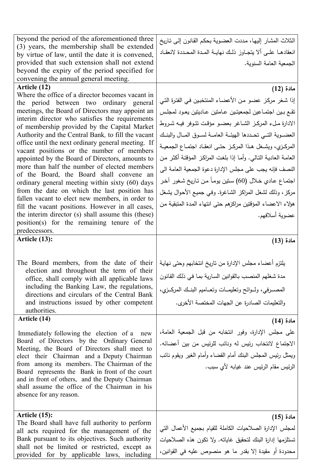| beyond the period of the aforementioned three<br>(3) years, the membership shall be extended                                            | الثلاث المشار إليها، مددت العضوية بحكم القانون إلى ناريخ                                                       |
|-----------------------------------------------------------------------------------------------------------------------------------------|----------------------------------------------------------------------------------------------------------------|
| by virtue of law, until the date it is convened,                                                                                        | انعقادهـا علـى ألا يتجـاوز ذلـك نهايــة المـدة المحـددة لانعقـاد                                               |
| provided that such extension shall not extend                                                                                           | الجمعية العامة السنوية.                                                                                        |
| beyond the expiry of the period specified for                                                                                           |                                                                                                                |
| convening the annual general meeting.<br>Article (12)                                                                                   |                                                                                                                |
| Where the office of a director becomes vacant in                                                                                        | مادة (12)                                                                                                      |
| the period between two ordinary general                                                                                                 | إذا شغر مركز عضو من الأعضاء المنتخبين في الفترة التي                                                           |
| meetings, the Board of Directors may appoint an                                                                                         | تقع بين اجتماعين لجمعيتين عامتين عاديتين يعود لمجلس                                                            |
| interim director who satisfies the requirements<br>of membership provided by the Capital Market                                         | الادارة ملء المركز الشاغر بعضو مؤقت تتوفر فيه شروط                                                             |
| Authority and the Central Bank, to fill the vacant                                                                                      | العضـوية التــي تحــددها الـهيئــة الـعامــة لســوق المــال والبنــك                                           |
| office until the next ordinary general meeting. If                                                                                      | المركزي، ويشـغل هـذا المركـز حتـى انعقـاد اجتمـاع الجمعيـة                                                     |
| vacant positions or the number of members<br>appointed by the Board of Directors, amounts to                                            | العامـة العاديـة التـالـي. وأمـا إذا بلغت المراكـز المؤقتـة أكثـر مـن                                          |
| more than half the number of elected members                                                                                            | النصف فإنه يجب على مجلس الإدارة دعوة الجمعية العامة الى                                                        |
| of the Board, the Board shall convene an                                                                                                | اجتماع عادي خلال (60) سنين يوماً من تاريخ شغور آخر                                                             |
| ordinary general meeting within sixty (60) days<br>from the date on which the last position has                                         |                                                                                                                |
| fallen vacant to elect new members, in order to                                                                                         | مركز ، وذلك لشغل المراكز الشاغرة. وفي جميع الأحوال يشغل                                                        |
| fill the vacant positions. However in all cases,                                                                                        | هؤلاء الاعضاء المؤقتين مراكزهم حتى انتهاء المدة المتبقية من                                                    |
| the interim director (s) shall assume this (these)                                                                                      | عضوية أسلافهم.                                                                                                 |
| position(s) for the remaining tenure of the<br>predecessors.                                                                            |                                                                                                                |
| Article (13):                                                                                                                           |                                                                                                                |
|                                                                                                                                         | مادة (13)                                                                                                      |
|                                                                                                                                         |                                                                                                                |
| The Board members, from the date of their<br>election and throughout the term of their<br>office, shall comply with all applicable laws | يلتزم أعضاء مجلس الإدارة من تاريخ انتخابهم وحتى نهاية<br>مدة شغلهم المنصب بالقوانين السارية بما في ذلك القانون |
| including the Banking Law, the regulations,<br>directions and circulars of the Central Bank                                             | المصــرفي، ولــوائح وتعليمــات وتعــاميم البنــك المركــزي،                                                    |
| and instructions issued by other competent                                                                                              | والتعليمات الصادرة عن الجهات المختصة الأخرى.                                                                   |
| authorities.                                                                                                                            |                                                                                                                |
| Article (14)                                                                                                                            | مادة (14)                                                                                                      |
| Immediately following the election of a new                                                                                             | على مجلس الإدارة، وفور انتخابه من قبل الجمعية العامة،                                                          |
| Board of Directors by the Ordinary General                                                                                              | الاجتماع لانتخاب رئيس له ونائب للرئيس من بين أعضائه.                                                           |
| Meeting, the Board of Directors shall meet to                                                                                           |                                                                                                                |
| elect their Chairman and a Deputy Chairman                                                                                              | ويمثل رئيس المجلس البنك أمام القضاء وأمام الغير ويقوم نائب                                                     |
| from among its members. The Chairman of the<br>Board represents the Bank in front of the court                                          | الرئيس مقام الرئيس عند غيابه لأي سبب.                                                                          |
| and in front of others, and the Deputy Chairman                                                                                         |                                                                                                                |
| shall assume the office of the Chairman in his                                                                                          |                                                                                                                |
| absence for any reason.                                                                                                                 |                                                                                                                |
|                                                                                                                                         |                                                                                                                |
| Article (15):<br>The Board shall have full authority to perform                                                                         | مادة (15)                                                                                                      |
| all acts required for the management of the                                                                                             | لمجلس الإدارة الصلاحيات الكاملة للقيام بجميع الأعمال التي                                                      |
| Bank pursuant to its objectives. Such authority<br>shall not be limited or restricted, except as                                        | تستلزمها إدارة البنك لتحقيق غاياته. ولا تكون هذه الصلاحيات                                                     |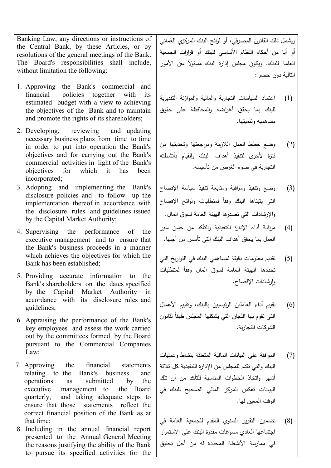Banking Law, any directions or instructions of the Central Bank, by these Articles, or by resolutions of the general meetings of the Bank. The Board's responsibilities shall include, without limitation the following:

- 1. Approving the Bank's commercial and financial policies together with its estimated budget with a view to achieving the objectives of the Bank and to maintain and promote the rights of its shareholders;
- 2. Developing, reviewing and updating necessary business plans from time to time in order to put into operation the Bank's objectives and for carrying out the Bank's commercial activities in light of the Bank's objectives for which it has been incorporated;
- 3. Adopting and implementing the Bank's disclosure policies and to follow up the implementation thereof in accordance with the disclosure rules and guidelines issued by the Capital Market Authority;
- 4. Supervising the performance of the executive management and to ensure that the Bank's business proceeds in a manner which achieves the objectives for which the Bank has been established;
- 5. Providing accurate information to the Bank's shareholders on the dates specified by the Capital Market Authority in accordance with its disclosure rules and guidelines;
- 6. Appraising the performance of the Bank's key employees and assess the work carried out by the committees formed by the Board pursuant to the Commercial Companies Law;
- 7. Approving the financial statements relating to the Bank's business and operations as submitted by the executive management to the Board quarterly, and taking adequate steps to ensure that those statements reflect the correct financial position of the Bank as at that time;
- 8. Including in the annual financial report presented to the Annual General Meeting the reasons justifying the ability of the Bank to pursue its specified activities for the

<sub>ل</sub>يشمل ذلك القانون المصرفي، أو لوائح البنك المركز*ي* العُماني أو أیا من أحكام النظام الأساسي للبنك أو قرارات الجمعیة المعامة للبنك. ويكون مجلس إدارة البنك مسئولا عن الأمور التالیة دون حصر:

- (1) اعتماد السیاسات التجاریة والمالیة والموازنة التقدیریة للبنك بما یحقق أغراضه والمحافظة على حقوق مساهمیه وتنمیتها.
- (2) وضع خطط العمل اللازمة ومراجعتها وتحدیثها من فترة لأخرى لتنفیذ أهداف البنك والقیام بأنشطته التجاریة في ضوء الغرض من تأسیسه.
- (3) وضع وتنفیذ ومراقبة ومتابعة تنفیذ سیاسة الإفصاح لنتي يتبناها البنك وفقا لمتطلبات ولوائح الإفصاح والإرشادات التي تصدرها الهیئة العامة لسوق المال.
- (4) مراقبة أداء الإدارة التنفیذیة والتأكد من حسن سیر العمل بما یحقق أهداف البنك التي تأسس من أجلها.
- (5) تقدیم معلومات دقیقة لمساهمي البنك في التواریخ التي تحددها المهيئة العامة لسوق المال وفقا لمتطلبات وارشادات الإفصاح.
- (6) تقییم أداء العاملین الرئیسیین بالبنك، وتقییم الأعمال لنتي تقوم بـها اللـجان النتي يشكلـها المـجلس طبقا لقانون الشركات التجاریة.
- (7) الموافقة على البیانات المالیة المتعلقة بنشاط وعملیات البنك والتي تقدم للمجلس من الإدارة التنفیذیة كل ثلاثة أشهر واتخاذ الخطوات المناسبة للتأكد من أن تلك البیانات تعكس المركز المالي الصحیح للبنك في الوقت المعین لها.
- (8) تضمین التقریر السنوي المقدم للجمعیة العامة في اجتماعها العادي مسوغات مقدرة البنك على الاستمرار في ممارسة الأنشطة المحددة له من أجل تحقیق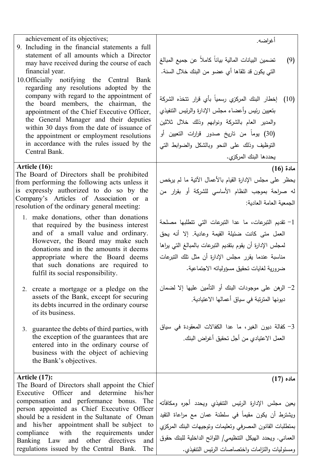| achievement of its objectives;<br>9. Including in the financial statements a full<br>statement of all amounts which a Director<br>may have received during the course of each<br>financial year.<br>10. Officially notifying the Central Bank<br>regarding any resolutions adopted by the<br>company with regard to the appointment of<br>the board members, the chairman, the<br>appointment of the Chief Executive Officer,<br>the General Manager and their deputies<br>within 30 days from the date of issuance of<br>the appointment or employment resolutions<br>in accordance with the rules issued by the<br>Central Bank. | أغراضه.<br>تضمين البيانات المالية بياناً كاملاً عن جميع المبالغ<br>(9)<br>التي يكون قد نلقاها أي عضو من البنك خلال السنة.<br>(10)   إخطار  البنك  المركزي رسمياً بأي قرار  نتخذه الشركة<br>بتعبين رئيس وأعضاء مجلس الإدارة والرئيس النتفيذي<br>والمدير العام بالشركة ونوابهم وذلك خلال ثلاثين<br>(30) يوماً من تاريخ صدور قرارات النعيين أو<br>التوظيف وذلك على النحو وبالشكل والضوابط التى<br>يحددها البنك المركزي. |
|------------------------------------------------------------------------------------------------------------------------------------------------------------------------------------------------------------------------------------------------------------------------------------------------------------------------------------------------------------------------------------------------------------------------------------------------------------------------------------------------------------------------------------------------------------------------------------------------------------------------------------|----------------------------------------------------------------------------------------------------------------------------------------------------------------------------------------------------------------------------------------------------------------------------------------------------------------------------------------------------------------------------------------------------------------------|
| Article (16):<br>The Board of Directors shall be prohibited<br>from performing the following acts unless it<br>is expressly authorized to do so by the<br>Company's Articles of Association or a<br>resolution of the ordinary general meeting:<br>1. make donations, other than donations<br>that required by the business interest                                                                                                                                                                                                                                                                                               | مادة (16)<br>يحظر على مجلس الإدارة القيام بالأعمال الآنية ما لم يرخص<br>له صراحة بموجب النظام الأساسي للشركة أو بقرار من<br>الجمعية العامة العادية:<br>1- تقديم التبرعات، ما عدا التبرعات التي تتطلبها مصلحة                                                                                                                                                                                                         |
| and of a small value and ordinary.<br>However, the Board may make such<br>donations and in the amounts it deems<br>appropriate where the Board deems<br>that such donations are required to<br>fulfil its social responsibility.                                                                                                                                                                                                                                                                                                                                                                                                   | العمل متى كانت ضئيلة القيمة وعادية. إلا أنه يحق<br>لمجلس الإدارة أن يقوم بنقديم النبرعات بالمبالغ التي يراها<br>مناسبة عندما يقرر مجلس الإدارة أن مثل نلك النبرعات<br>ضرورية لغايات تحقيق مسؤولياته الاجتماعية.                                                                                                                                                                                                      |
| 2. create a mortgage or a pledge on the<br>assets of the Bank, except for securing<br>its debts incurred in the ordinary course<br>of its business.                                                                                                                                                                                                                                                                                                                                                                                                                                                                                | 2– الرهن على موجودات البنك أو النأمين عليها إلا لضمان<br>ديونها المترتبة في سياق أعمالها الاعتيادية.                                                                                                                                                                                                                                                                                                                 |
| 3. guarantee the debts of third parties, with<br>the exception of the guarantees that are<br>entered into in the ordinary course of<br>business with the object of achieving<br>the Bank's objectives.                                                                                                                                                                                                                                                                                                                                                                                                                             | 3- كفالة ديون الغير، ما عدا الكفالات المعقودة في سياق<br>العمل الاعتيادي من أجل تحقيق أغراض البنك.                                                                                                                                                                                                                                                                                                                   |
| Article (17):<br>The Board of Directors shall appoint the Chief<br>Executive Officer<br>and determine<br>his/her<br>compensation and performance bonus. The<br>person appointed as Chief Executive Officer<br>should be a resident in the Sultanate of Oman<br>and his/her appointment shall be subject to<br>compliance with the requirements under<br>Banking Law and other directives<br>and<br>regulations issued by the Central Bank.<br>The                                                                                                                                                                                  | ماده (17)<br>يعين مجلس الإدارة الرئيس التنفيذي ويحدد أجره ومكافآته<br>ويشترط أن يكون مقيماً في سلطنة عمان مع مراعاة النقيد<br>بمنطلبات القانون المصرفي ونعليمات ونوجيهات البنك المركزي<br>العماني. ويحدد الهيكل التنظيمي/ اللوائح الداخلية للبنك حقوق<br>ومسئوليات والنزامات واختصاصات الرئيس التتفيذي.                                                                                                              |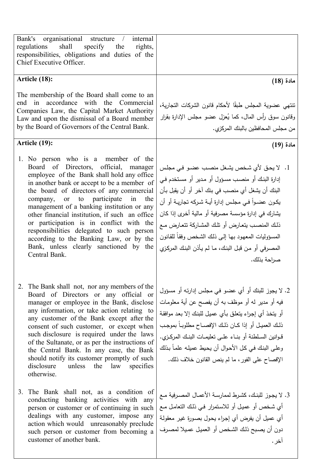| Bank's organisational<br>structure<br>internal<br>$\sqrt{2}$<br>shall<br>specify the<br>regulations<br>rights,<br>responsibilities, obligations and duties of the<br>Chief Executive Officer.                                                                                                                                                                                                                                                                                                                                                                         |                                                                                                                                                                                                                                                                                                                                                                                                                                       |
|-----------------------------------------------------------------------------------------------------------------------------------------------------------------------------------------------------------------------------------------------------------------------------------------------------------------------------------------------------------------------------------------------------------------------------------------------------------------------------------------------------------------------------------------------------------------------|---------------------------------------------------------------------------------------------------------------------------------------------------------------------------------------------------------------------------------------------------------------------------------------------------------------------------------------------------------------------------------------------------------------------------------------|
| Article (18):                                                                                                                                                                                                                                                                                                                                                                                                                                                                                                                                                         | مادة (18)                                                                                                                                                                                                                                                                                                                                                                                                                             |
| The membership of the Board shall come to an<br>in accordance with<br>end<br>the Commercial<br>Companies Law, the Capital Market Authority<br>Law and upon the dismissal of a Board member<br>by the Board of Governors of the Central Bank.                                                                                                                                                                                                                                                                                                                          | تتنهى عضوية المجلس طبقًا لأحكام قانون الشركات التجارية،<br>وقانون سوق رأس المال، كما يُعزل عضو مجلس الإدارة بقرار<br>من مجلس المحافظين بالبنك المركزي.                                                                                                                                                                                                                                                                                |
| Article (19):                                                                                                                                                                                                                                                                                                                                                                                                                                                                                                                                                         | مادة (19)                                                                                                                                                                                                                                                                                                                                                                                                                             |
| 1. No person who is a member of the<br>Board of Directors, official, manager<br>employee of the Bank shall hold any office<br>in another bank or accept to be a member of<br>the board of directors of any commercial<br>participate<br>or to<br>in<br>the<br>company,<br>management of a banking institution or any<br>other financial institution, if such an office<br>or participation is in conflict with the<br>responsibilities delegated to such person<br>according to the Banking Law, or by the<br>Bank, unless clearly sanctioned by the<br>Central Bank. | 1.   لا يحق لأي شخص يشغل منصب عضو في مجلس<br>إدارة البنك أو منصب مسؤول أو مدير أو مستخدم في<br>البنك أن يشغل أي منصب في بنك آخر أو أن يقبل بأن<br>يكون عضـواً فـي مجلـس إدارة أيــة شـركه تجاريــة أو أن<br>يشارك في إدارة مؤسسة مصرفية أو مالية أخرى إذا كان<br>ذلك المنصب يتعارض أو نلك المشاركة تتعارض مع<br>المسؤوليات المعهود بها إلى ذلك الشخص وفقأ للقانون<br>المصرفي أو من قبل البنك، ما لم يأذن البنك المركزي<br>صراحة بذلك. |
| 2. The Bank shall not, nor any members of the<br>Board of Directors or any official or<br>manager or employee in the Bank, disclose<br>any information, or take action relating to<br>any customer of the Bank except after the<br>consent of such customer, or except when<br>such disclosure is required under the laws<br>of the Sultanate, or as per the instructions of<br>the Central Bank. In any case, the Bank<br>should notify its customer promptly of such<br>disclosure<br>unless<br>the law<br>specifies<br>otherwise.                                  | 2. لا يجوز للبنك أو أي عضو في مجلس إدارته أو مسؤول<br>فيه أو مدير له أو موظف به أن يفصح عن أية معلومات<br>أو يتخذ أي إجراء يتعلق بأي عميل للبنك إلا بعد موافقة<br>ذلك العميل أو إذا كـان ذلك الإفصــاح مطلوبـاً بموجـب<br>قـوانين السـلطنة أو بنـاء علـى تعليمـات البنـك المركـزي.<br>وعلى البنك في كل الأحوال أن يحيط عميلـه علمـاً بذلك<br>الإفصاح على الفور ، ما لم ينص القانون خلاف ذلك.                                          |
| 3. The Bank shall not, as a condition of<br>conducting banking activities with any<br>person or customer or of continuing in such<br>dealings with any customer, impose any<br>action which would unreasonably preclude<br>such person or customer from becoming a<br>customer of another bank.                                                                                                                                                                                                                                                                       | 3. لا يجوز للبنك، كشرط لممارسة الأعمال المصرفية مـع<br>أي شخص أو عميل أو للاستمرار فـي ذلك التعامل مـع<br>أي عميل أن يفرض أي إجراء يحول بصورة غير معقولة<br>دون أن يصبح ذلك الشخص أو العميل عميلا لمصرف<br>أخر .                                                                                                                                                                                                                      |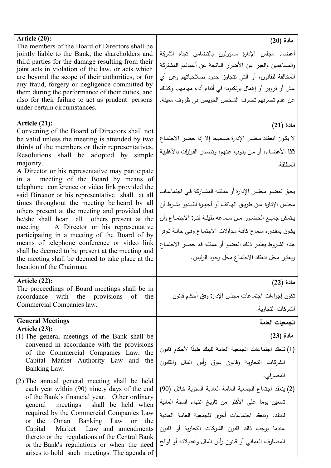| Article (20):<br>The members of the Board of Directors shall be<br>jointly liable to the Bank, the shareholders and<br>third parties for the damage resulting from their<br>joint acts in violation of the law, or acts which<br>are beyond the scope of their authorities, or for<br>any fraud, forgery or negligence committed by<br>them during the performance of their duties, and<br>also for their failure to act as prudent persons<br>under certain circumstances.                                                                                                                                                                                                                                                                                                                                                                                        | مادة (20)<br>أعضاء مجلس الإدارة مسؤولون بالنضامن نجاه الشركة<br>والمساهمين والغير عن الأضرار النانجة عن أعمالهم المشتركة<br>المخالفة للقانون، أو التي نتجاوز حدود صلاحياتهم وعن أي<br>غش أو نزوير أو إهمال برنكبونه في أثناء أداء مهامهم، وكذلك<br>عن عدم تصرفهم تصرف الشخص الحريص في ظروف معينة.                                                                                                                                                                                        |
|--------------------------------------------------------------------------------------------------------------------------------------------------------------------------------------------------------------------------------------------------------------------------------------------------------------------------------------------------------------------------------------------------------------------------------------------------------------------------------------------------------------------------------------------------------------------------------------------------------------------------------------------------------------------------------------------------------------------------------------------------------------------------------------------------------------------------------------------------------------------|------------------------------------------------------------------------------------------------------------------------------------------------------------------------------------------------------------------------------------------------------------------------------------------------------------------------------------------------------------------------------------------------------------------------------------------------------------------------------------------|
| Article (21):<br>Convening of the Board of Directors shall not<br>be valid unless the meeting is attended by two<br>thirds of the members or their representatives.<br>Resolutions shall be adopted by simple<br>majority.<br>A Director or his representative may participate<br>in a meeting of the Board by means of<br>telephone conference or video link provided the<br>said Director or his representative shall at all<br>times throughout the meeting be heard by all<br>others present at the meeting and provided that<br>he/she shall hear all others present at the<br>meeting. A Director or his representative<br>participating in a meeting of the Board of by<br>means of telephone conference or video link<br>shall be deemed to be present at the meeting and<br>the meeting shall be deemed to take place at the<br>location of the Chairman. | مادة (21)<br>لا يكون انعقاد مجلس الإدارة صحيحا إلا إذا حضىر الاجتماع<br>ثلثًا الأعضاء، أو من ينوب عنهم، وتصدر القرارات بالأغلبية<br>المطلقة.<br>يحق لعضو مجلس الإدارة أو ممثلـه المشاركة فـي اجتماعـات<br>مجلس الإدارة عن طريق الهـاتف أو أجهـزة الفيـديو بشـرط أن<br>يتمكن جميع الحضور من سماعه طيلة فترة الاجتماع وأن<br>يكون بمقدوره سماع كافة مداولات الاجتماع وفي حالـة تـوفر<br>هذه الشروط يعتبر ذلك العضو أو ممثله قد حضر الاجتماع<br>ويعتبر محل انعقاد الاجتماع محل وجود الرئيس. |
| Article (22):<br>The proceedings of Board meetings shall be in<br>accordance with the provisions<br>of the<br>Commercial Companies law.                                                                                                                                                                                                                                                                                                                                                                                                                                                                                                                                                                                                                                                                                                                            | مادة (22)<br>نكون إجراءات اجتماعات مجلس الإدارة وفق أحكام قانون<br>الشركات التجارية.                                                                                                                                                                                                                                                                                                                                                                                                     |
| <b>General Meetings</b><br>Article (23):<br>(1) The general meetings of the Bank shall be<br>convened in accordance with the provisions<br>of the Commercial Companies Law, the<br>Capital Market Authority Law and the<br>Banking Law.                                                                                                                                                                                                                                                                                                                                                                                                                                                                                                                                                                                                                            | الجمعيات العامة<br>مادة (23)<br>(1) نتعقد اجتماعات الجمعية العامة للبنك طبقًا لأحكام قانون<br>الشركات التجارية وقانون سوق رأس المال والقانون<br>المصرفي.                                                                                                                                                                                                                                                                                                                                 |
| $(2)$ The annual general meeting shall be held<br>each year within (90) ninety days of the end<br>of the Bank's financial year. Other ordinary<br>shall be held when<br>meetings<br>general<br>required by the Commercial Companies Law<br>or the Oman Banking Law<br>the<br>or<br>Market Law and amendments<br>Capital<br>thereto or the regulations of the Central Bank<br>or the Bank's regulations or when the need<br>arises to hold such meetings. The agenda of                                                                                                                                                                                                                                                                                                                                                                                             | (2) ينعقد اجتماع الجمعية العامة العادية السنوية خلال (90)<br>تسعين يوما على الأكثر من تاريخ انتهاء السنة المالية<br>للبنك. ونتعقد اجتماعات أخرى للجمعية العامة العادية<br>عندما يوجب ذاك قانون الشركات التجارية أو قانون<br>المصارف العماني أو قانون رأس المال ونعديلانه أو لوائح                                                                                                                                                                                                        |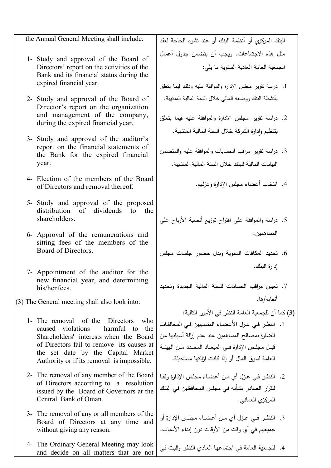| the Annual General Meeting shall include:                                          | البنك المركزي أو أنظمة البنك أو عند نشوء الحاجة لعقد         |
|------------------------------------------------------------------------------------|--------------------------------------------------------------|
| 1- Study and approval of the Board of                                              | مثل هذه الاجتماعات. ويجب أن يتضمن جدول أعمال                 |
| Directors' report on the activities of the                                         | الجمعية العامة العادية السنوية ما يلي:                       |
| Bank and its financial status during the<br>expired financial year.                |                                                              |
|                                                                                    | 1.  دراسة نقرير  مجلس الإدارة والموافقة عليه وذلك فيما بتعلق |
| 2- Study and approval of the Board of<br>Director's report on the organization     | بأنشطة البنك ووضعه المالي خلال السنة المالية المنتهية.       |
| and management of the company,                                                     | 2. دراسة نقرير مجلس الادارة والموافقة عليه فيما يتعلق        |
| during the expired financial year.                                                 | بتنظيم وادارة الشركة خلال السنة المالية المنتهية.            |
| 3- Study and approval of the auditor's                                             |                                                              |
| report on the financial statements of<br>the Bank for the expired financial        | 3.  دراسة نقرير  مراقب الحسابات والموافقة عليه والمتضمن      |
| year.                                                                              | البيانات المالية للبنك خلال السنة المالية المنتهية.          |
| 4- Election of the members of the Board                                            |                                                              |
| of Directors and removal thereof.                                                  | 4. انتخاب أعضاء مجلس الإدارة وعزلهم.                         |
| 5- Study and approval of the proposed                                              |                                                              |
| dividends<br>distribution of<br>$\overline{\mathbf{t}}$<br>the<br>shareholders.    |                                                              |
|                                                                                    | 5.  دراسة والموافقة على اقتراح نوزيع أنصبة الأرباح على       |
| 6- Approval of the remunerations and<br>sitting fees of the members of the         | المساهمين.                                                   |
| Board of Directors.                                                                | . تحديد المكافآت السنوية وبدل حضور جلسات مجلس                |
|                                                                                    | إدارة البنك.                                                 |
| 7- Appointment of the auditor for the<br>new financial year, and determining       |                                                              |
| his/her fees.                                                                      | 7. تعيين مراقب الحسابات للسنة المالية الجديدة وتحديد         |
| (3) The General meeting shall also look into:                                      | أتعابه/ها.                                                   |
|                                                                                    | (3) كما أن للجمعية العامة النظر في الأمور التالية:           |
| 1- The removal of the<br>Directors<br>who<br>caused violations<br>harmful to the   | 1.   النظر فـي عزل الأعضـاء المتسببين فـي المخالفـات         |
| Shareholders' interests when the Board                                             | الضارة بمصالح المساهمين عند عدم إزالة أسبابها من             |
| of Directors fail to remove its causes at                                          | قبـل مجلـس الإدارة فـى الميعـاد المحـدد مـن الهيئـة          |
| the set date by the Capital Market<br>Authority or if its removal is impossible.   | العامة لسوق المال أو إذا كانت إزالتها مستحيلة.               |
| 2- The removal of any member of the Board                                          | 2.   النظر فـي عزل أي مـن أعضـاء مجلس الإدارة وفقـا          |
| of Directors according to a resolution                                             | للقرار الصادر بشأنه في مجلس المحافظين في البنك               |
| issued by the Board of Governors at the<br>Central Bank of Oman.                   | المركزي العماني.                                             |
| 3- The removal of any or all members of the                                        |                                                              |
| Board of Directors at any time and                                                 | 3.  النظـر فـي عـزل أي مـن أعضــاء مجلـس الإدارة أو          |
| without giving any reason.                                                         | جميعهم في أي وقت من الأوقات دون إبداء الأسباب.               |
| 4- The Ordinary General Meeting may look<br>and decide on all matters that are not | 4. للجمعية العامة في اجتماعها العادي النظر والبت في          |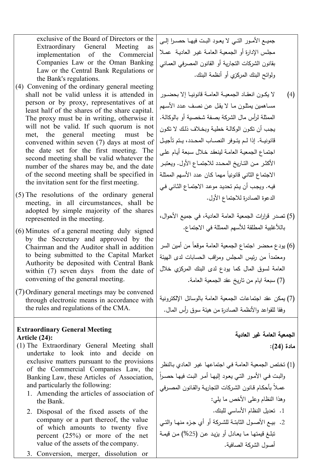| exclusive of the Board of Directors or the |  |  |  |
|--------------------------------------------|--|--|--|
| Extraordinary General Meeting as           |  |  |  |
| implementation of the Commercial           |  |  |  |
| Companies Law or the Oman Banking          |  |  |  |
| Law or the Central Bank Regulations or     |  |  |  |
| the Bank's regulations.                    |  |  |  |

- (4) Convening of the ordinary general meeting shall not be valid unless it is attended in person or by proxy, representatives of at least half of the shares of the share capital. The proxy must be in writing, otherwise it will not be valid. If such quorum is not met, the general meeting must be convened within seven (7) days at most of the date set for the first meeting. The second meeting shall be valid whatever the number of the shares may be, and the date of the second meeting shall be specified in the invitation sent for the first meeting.
- (5) The resolutions of the ordinary general meeting, in all circumstances, shall be adopted by simple majority of the shares represented in the meeting.
- (6) Minutes of a general meeting duly signed by the Secretary and approved by the Chairman and the Auditor shall in addition to being submitted to the Capital Market Authority be deposited with Central Bank within (7) seven days from the date of convening of the general meeting.
- (7)Ordinary general meetings may be convened through electronic means in accordance with the rules and regulations of the CMA.

### **Extraordinary General Meeting Article (24):**

- (1) The Extraordinary General Meeting shall undertake to look into and decide on exclusive matters pursuant to the provisions of the Commercial Companies Law, the Banking Law, these Articles of Association, and particularly the following:
	- 1. Amending the articles of association of the Bank.
	- 2. Disposal of the fixed assets of the company or a part thereof, the value of which amounts to twenty five percent (25%) or more of the net value of the assets of the company.
	- 3. Conversion, merger, dissolution or

جمیــع الأمــور التــي لا یعــود البــت فیهــا حصــرا إلــى مجلـس الإدارة أو الجمعیـة العامـة غیـر العادیـة عمـلا بقانون الشركات التجاریة أو القانون المصرفي العمـاني ولوائح البنك المركزي أو أنظمة البنك.

- (4) لا یكــون انعقــاد الجمعیــة العامــة قانونیــا إلا بحضــور مسـاهمین یمثلـون مـا لا یقـل عـن نصـف عـدد الأسـهم الممثلة لرأس مال الشركة بصـفة شخصـیة أو بالوكالـة. یجـب أن تكـون الوكالـة خطیـة وبخـلاف ذلـك لا تكـون قانونیــة. إذا لــم یتــوفر النصــاب المحــدد، یــتم تأجیــل اجتمـاع الجمعیـة العامـة لینعقـد خـلال سـبعة أیـام علـى الأكثــر مــن التــاریخ المحــدد للاجتمــاع الأول. ویعتبــر الاجتماع الثاني قانونيا مهما كان عدد الأسهم الممثلة فیـه. ویجـب أن یـتم تحدیـد موعـد الاجتمـاع الثـاني فـي الدعوة الصادرة للاجتماع الأول.
- (5) تصدر قرارات الجمعیة العامة العادیة، في جمیع الأحوال، باللأغلبیة المطلقة للأسهم الممثلة في الاجتماع.
- (6) يودع محضر اجتماع الجمعية العامة موقعاً من أمين السر ومعتمدا من رئیس المجلس ومراقب الحسابات لدى الهیئة ً العامة لسوق المال كما یودع لدى البنك المركزي خلال (7) سبعة ایام من تاریخ عقد الجمعیة العامة.
- (7) یمكن عقد اجتماعات الجمعیة العامة بالوسائل الإلكترونیة وفقا للقواعد والأنظمة الصادرة من هیئة سوق رأس المال.

# **الجمعیة العامة غیر العادیة مادة (24):**

(1) تخـتص الجمعیـة العامـة فـي اجتماعهـا غیـر العـادي بـالنظر ً والبـت فــي الأمـور التــي یعـود إلیهــا أمـر البــت فیهـا حصــرا عمـلا بأحكـام قـانون الشركات التجاريـة والقـانون المصـرفي وهذا النظام وعلى الأخص ما یلي: .1 تعدیل النظام الأساسي للبنك. .2 بیــع الأصــول الثابتــة للشــركة أو أي جــزء منهــا والتــي

تبلـغ قیمتهـا مــا یعـادل أو یزیـد عــن (%25) مـن قیمــة أصول الشركة الصافیة.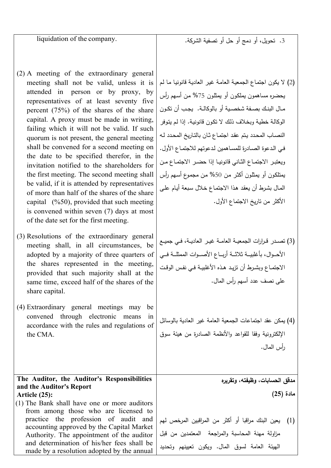liquidation of the company.

- (2) A meeting of the extraordinary general meeting shall not be valid, unless it is attended in person or by proxy, by representatives of at least seventy five percent (75%) of the shares of the share capital. A proxy must be made in writing, failing which it will not be valid. If such quorum is not present, the general meeting shall be convened for a second meeting on the date to be specified therefor, in the invitation notified to the shareholders for the first meeting. The second meeting shall be valid, if it is attended by representatives of more than half of the shares of the share capital(%50), provided that such meeting is convened within seven (7) days at most of the date set for the first meeting.
- (3) Resolutions of the extraordinary general meeting shall, in all circumstances, be adopted by a majority of three quarters of the shares represented in the meeting, provided that such majority shall at the same time, exceed half of the shares of the share capital.
- (4) Extraordinary general meetings may be convened through electronic means in accordance with the rules and regulations of the CMA.

### **The Auditor, the Auditor's Responsibilities and the Auditor's Report Article (25):**

(1) The Bank shall have one or more auditors from among those who are licensed to practice the profession of audit and accounting approved by the Capital Market Authority. The appointment of the auditor and determination of his/her fees shall be made by a resolution adopted by the annual

.3 تحویل، أو دمج أو حل أو تصفیة الشركة.

- (2) لا یكون اجتمـاع الجمعیـة العامـة غیـر العادیـة قانونیـا مـا لـم یحضره مساهمون یملكـون أو یمثلـون %75 مـن أسـهم رأس مــال البنــك بصــفة شخصــیة أو بالوكالــة. یجــب أن تكــون الوكالـة خطیـة وبخـلاف ذلـك لا تكـون قانونیـة. إذا لـم یتـوفر النصـاب المحـدد یـتم عقـد اجتمـاع ثـان بالتـاریخ المحـدد لـه فـي الـدعوة الصـادرة للمسـاهمین لـدعوتهم للاجتمـاع الأول. ویعتبــر الاجتمــاع الثــاني قانونیــا إذا حضــر الاجتمــاع مــن یمتلكـون أو یمثلـون أكثـر مـن %50 مـن مجمـوع أسـهم رأس المـال بشـرط أن یعقـد هـذا الاجتمـاع خـلال سـبعة أیـام علـى الأكثر من تاریخ الاجتماع الأول.
- (3) تصــدر قــرارات الجمعیــة العامــة غیــر العادیــة، فــي جمیــع الأحـــوال، بأغلبیـــة ثلاثـــة أربـــاع الأصـــوات الممثلـــة فـــي الاجتمــاع وبشــرط أن تزیــد هــذه الأغلبیــة فــي نفــس الوقــت على نصف عدد أسهم رأس المال.
- (4) یمكن عقد اجتماعات الجمعیة العامة غیر العادیة بالوسائل الإلكترونیة وفقا للقواعد والأنظمة الصادرة من هیئة سوق رأس المال.

**مدقق الحسابات، وظیفته، وتقریره مادة (25)**

(1) یعین البنك مراقبا أو أكثر من المراقبین المرخص لهم مزاولة مهنة المحاسبة والمراجعة المعتمدین من قبل الهیئة العامة لسوق المال. ویكون تعیینهم وتحدید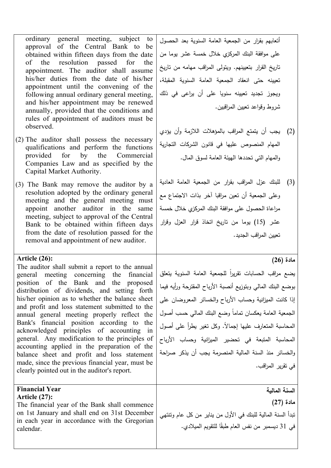ordinary general meeting, subject to approval of the Central Bank to be obtained within fifteen days from the date of the resolution passed for the appointment. The auditor shall assume his/her duties from the date of his/her appointment until the convening of the following annual ordinary general meeting, and his/her appointment may be renewed annually, provided that the conditions and rules of appointment of auditors must be observed.

- (2) The auditor shall possess the necessary qualifications and perform the functions provided for by the Commercial Companies Law and as specified by the Capital Market Authority.
- (3) The Bank may remove the auditor by a resolution adopted by the ordinary general meeting and the general meeting must appoint another auditor in the same meeting, subject to approval of the Central Bank to be obtained within fifteen days from the date of resolution passed for the removal and appointment of new auditor.

### **Article (26):**

The auditor shall submit a report to the annual general meeting concerning the financial position of the Bank and the proposed distribution of dividends, and setting forth his/her opinion as to whether the balance sheet and profit and loss statement submitted to the annual general meeting properly reflect the Bank's financial position according to the acknowledged principles of accounting in general. Any modification to the principles of accounting applied in the preparation of the balance sheet and profit and loss statement made, since the previous financial year, must be clearly pointed out in the auditor's report.

# **Financial Year**

**Article (27):** 

The financial year of the Bank shall commence on 1st January and shall end on 31st December in each year in accordance with the Gregorian calendar.

أتعابهم بقرار من الجمعیة العامة السنویة بعد الحصول على موافقة البنك المركزي خلال خمسة عشر یوما من تاریخ القرار بتعیینهم. ویتولى المراقب مهامه من تاریخ تعیینه حتى انعقاد الجمعیة العامة السنویة المقبلة، ویجوز تجدید تعیینه سنویا على أن یراعى في ذلك شروط وقواعد تعیین المراقبین.

- (2) یجب أن یتمتع المراقب بالمؤهلات اللازمة وأن یؤدي المهام المنصوص علیها في قانون الشركات التجاریة والمهام التي تحددها الهیئة العامة لسوق المال.
- (3) للبنك عزل المراقب بقرار من الجمعیة العامة العادیة وعلى الجمعیة أن تعین مراقبا آخر بذات الاجتماع مع مراعاة الحصول على موافقة البنك المركزي خلال خمسة عشر (15) یوما من تاریخ اتخاذ قرار العزل وقرار تعیین المراقب الجدید.

## **مادة (26)**

بضع مراقب الحسابات تقريرا للجمعية العامة السنوية يتعلق بوضع البنك المالي وبتوزیع أنصبة الأرباح المقترحة ورأیه فیما إذا كانت المیزانیة وحساب الأرباح والخسائر المعروضان على الجمعية العامة يعكسان تماما وضىع البنك المالي حسب أصول المحاسبة المتعارف عليها إجمالا. وكل تغير بطرأ على أصول المحاسبة المتبعة في تحضیر المیزانیة وحساب الأرباح والخسائر منذ السنة المالیة المنصرمة یجب أن یذكر صراحة في تقریر المراقب.

**السنة المالیة**

**مادة (27)** تبدأ السنة المالیة للبنك في الأول من ینایر من كل عام وتنتهي في 31 ديسمبر من نفس العام طبقًا للتقويم الميلادي.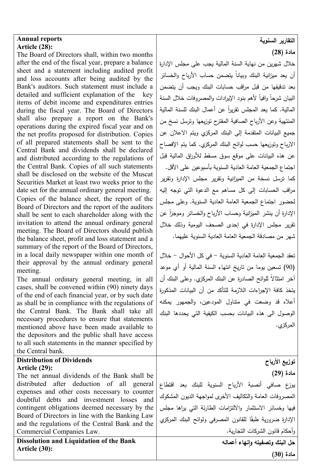### **Annual reports Article (28):**

The Board of Directors shall, within two months after the end of the fiscal year, prepare a balance sheet and a statement including audited profit and loss accounts after being audited by the Bank's auditors. Such statement must include a detailed and sufficient explanation of the key items of debit income and expenditures entries during the fiscal year. The Board of Directors shall also prepare a report on the Bank's operations during the expired fiscal year and on the net profits proposed for distribution. Copies of all prepared statements shall be sent to the Central Bank and dividends shall be declared and distributed according to the regulations of the Central Bank. Copies of all such statements shall be disclosed on the website of the Muscat Securities Market at least two weeks prior to the date set for the annual ordinary general meeting. Copies of the balance sheet, the report of the Board of Directors and the report of the auditors shall be sent to each shareholder along with the invitation to attend the annual ordinary general meeting. The Board of Directors should publish the balance sheet, profit and loss statement and a summary of the report of the Board of Directors, in a local daily newspaper within one month of their approval by the annual ordinary general meeting.

The annual ordinary general meeting, in all cases, shall be convened within (90) ninety days of the end of each financial year, or by such date as shall be in compliance with the regulations of the Central Bank. The Bank shall take all necessary procedures to ensure that statements mentioned above have been made available to the depositors and the public shall have access to all such statements in the manner specified by the Central bank.

#### **Distribution of Dividends Article (29):**

The net annual dividends of the Bank shall be distributed after deduction of all general expenses and other costs necessary to counter doubtful debts and investment losses and contingent obligations deemed necessary by the Board of Directors in line with the Banking Law and the regulations of the Central Bank and the Commercial Companies Law.

**Dissolution and Liquidation of the Bank Article (30):**

#### **التقاریر السنویة**

**مادة (28)**

خلال شهرین من نهایة السنة المالیة یجب على مجلس الإدارة أن يعد ميزانية البنك وبيانا يتضمن حساب الأرباح والخسائر بعد تدقیقها من قبل مراقب حسابات البنك ویجب أن یتضمن البيان شرحا وافيا لأهم بنود الإيرادات والمصروفات خلال السنة المالية. كما يعد المجلس تقريرا عن أعمال البنك للسنة المالية المنتهیة وعن الأرباح الصافیة المقترح توزیعها وترسل نسخ من جمیع البیانات المتقدمة إلى البنك المركزي ویتم الاعلان عن الارباح و توزیعها حسب لوائح البنك المركزي. كما یتم الإفصاح عن هذه البیانات على موقع سوق مسقط للأوراق المالیة قبل اجتماع الجمعیة العامة العادیة السنویة بأسبوعین على الأقل. كما ترسل نسخة من المیزانیة وتقریر مجلس الإدارة وتقریر مراقب الحسابات إلى كل مساهم مع الدعوة التي توجه إلیه لحضور اجتماع الجمعیة العامة العادیة السنویة. وعلى مجلس الإدارة أن ينشر الميزانية وحساب الأرباح والخسائر وموجزا عن تقریر مجلس الإدارة في إحدى الصحف الیومیة و ذلك خلال شهر من مصادقة الجمعیة العامة العادیة السنویة علیهما.

تعقد الجمعیة العامة العادیة السنویة - في كل الأحوال - خلال (90) تسعین یوما من تاریخ انتهاء السنة المالیة أو أي موعد اخر امتثالا للوائح الصادرة عن البنك المركزي. وعلى البنك أن یتخذ كافة الإجراءات اللازمة للتأكد من أن البیانات المذكورة أعلاه قد وضعت في متناول المودعین، والجمهور یمكنه الوصول الى هذه البیانات بحسب الكیفیة التي یحددها البنك المركزي.

> **توزیع الأرباح مادة (29)**

یوزع صافي أنصبة الأرباح السنویة للبنك بعد اقتطاع المصروفات العامة والتكالیف الأخرى لمواجهة الدیون المشكوك فیها وخسائر الاستثمار والالتزامات الطارئة التي یراها مجلس الإدارة ضرورية طبقًا للقانون المصرفي ولوائح البنك المركزي وأحكام قانون الشركات التجاریة. **ٕنهاء أعماله حل البنك وتصفیته وا مادة (30)**